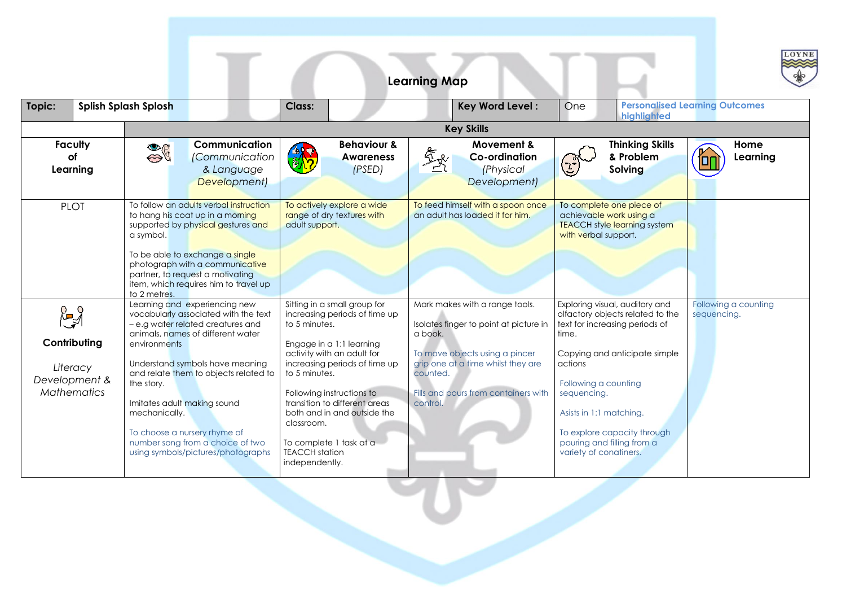|                                                                                   |                                                                                                            |                                                                                                                                                                                                                                                                                                       |                                                                                                                                                                                                                                                                                                                                                                             | <b>Learning Map</b>                                                                                                                                                                                                         |                                                                                                                                                                                                                                                                                                                    | LOYNE                                 |  |  |
|-----------------------------------------------------------------------------------|------------------------------------------------------------------------------------------------------------|-------------------------------------------------------------------------------------------------------------------------------------------------------------------------------------------------------------------------------------------------------------------------------------------------------|-----------------------------------------------------------------------------------------------------------------------------------------------------------------------------------------------------------------------------------------------------------------------------------------------------------------------------------------------------------------------------|-----------------------------------------------------------------------------------------------------------------------------------------------------------------------------------------------------------------------------|--------------------------------------------------------------------------------------------------------------------------------------------------------------------------------------------------------------------------------------------------------------------------------------------------------------------|---------------------------------------|--|--|
| Topic:                                                                            | <b>Splish Splash Splosh</b>                                                                                |                                                                                                                                                                                                                                                                                                       | Class:                                                                                                                                                                                                                                                                                                                                                                      | <b>Key Word Level:</b>                                                                                                                                                                                                      | One<br>highlighted                                                                                                                                                                                                                                                                                                 | <b>Personalised Learning Outcomes</b> |  |  |
|                                                                                   |                                                                                                            | <b>Key Skills</b>                                                                                                                                                                                                                                                                                     |                                                                                                                                                                                                                                                                                                                                                                             |                                                                                                                                                                                                                             |                                                                                                                                                                                                                                                                                                                    |                                       |  |  |
| <b>Faculty</b><br>оf<br>Learning                                                  | $\frac{1}{2}$                                                                                              | Communication<br><i>(Communication</i><br>& Language<br>Development)                                                                                                                                                                                                                                  | <b>Behaviour &amp;</b><br><b>Awareness</b><br>(PSED)                                                                                                                                                                                                                                                                                                                        | Movement &<br><b>Co-ordination</b><br><i>(Physical</i><br>Development)                                                                                                                                                      | <b>Thinking Skills</b><br>& Problem<br>$\left( 1\right)$<br>Solving                                                                                                                                                                                                                                                | Home<br>Learning<br>ſоr               |  |  |
| <b>PLOT</b>                                                                       | a symbol.<br>to 2 metres.                                                                                  | To follow an adults verbal instruction<br>to hang his coat up in a morning<br>supported by physical gestures and<br>To be able to exchange a single<br>photograph with a communicative<br>partner, to request a motivating<br>item, which requires him to travel up                                   | To actively explore a wide<br>range of dry textures with<br>adult support.                                                                                                                                                                                                                                                                                                  | To feed himself with a spoon once<br>an adult has loaded it for him.                                                                                                                                                        | To complete one piece of<br>achievable work using a<br><b>TEACCH style learning system</b><br>with verbal support.                                                                                                                                                                                                 |                                       |  |  |
| $\mathbb{R}^3$<br>Contributing<br>Literacy<br>Development &<br><b>Mathematics</b> | environments<br>the story.<br>Imitates adult making sound<br>mechanically.<br>To choose a nursery rhyme of | Learning and experiencing new<br>vocabularly associated with the text<br>- e.g water related creatures and<br>animals, names of different water<br>Understand symbols have meaning<br>and relate them to objects related to<br>number song from a choice of two<br>using symbols/pictures/photographs | Sitting in a small group for<br>increasing periods of time up<br>to 5 minutes.<br>Engage in a 1:1 learning<br>activity with an adult for<br>increasing periods of time up<br>to 5 minutes.<br>Following instructions to<br>transition to different areas<br>both and in and outside the<br>classroom.<br>To complete 1 task at a<br><b>TEACCH</b> station<br>independently. | Mark makes with a range tools.<br>Isolates finger to point at picture in<br>a book.<br>To move objects using a pincer<br>grip one at a time whilst they are<br>counted.<br>Fills and pours from containers with<br>control. | Exploring visual, auditory and<br>olfactory objects related to the<br>text for increasing periods of<br>time.<br>Copying and anticipate simple<br>actions<br>Following a counting<br>sequencing.<br>Asists in 1:1 matching.<br>To explore capacity through<br>pouring and filling from a<br>variety of conatiners. | Following a counting<br>sequencing.   |  |  |